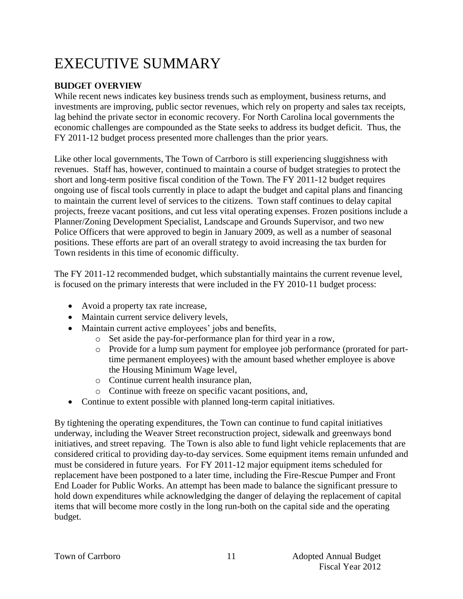# EXECUTIVE SUMMARY

#### **Budget Overview**

While recent news indicates key business trends such as employment, business returns, and investments are improving, public sector revenues, which rely on property and sales tax receipts, lag behind the private sector in economic recovery. For North Carolina local governments the economic challenges are compounded as the State seeks to address its budget deficit. Thus, the FY 2011-12 budget process presented more challenges than the prior years.

Like other local governments, The Town of Carrboro is still experiencing sluggishness with revenues. Staff has, however, continued to maintain a course of budget strategies to protect the short and long-term positive fiscal condition of the Town. The FY 2011-12 budget requires ongoing use of fiscal tools currently in place to adapt the budget and capital plans and financing to maintain the current level of services to the citizens. Town staff continues to delay capital projects, freeze vacant positions, and cut less vital operating expenses. Frozen positions include a Planner/Zoning Development Specialist, Landscape and Grounds Supervisor, and two new Police Officers that were approved to begin in January 2009, as well as a number of seasonal positions. These efforts are part of an overall strategy to avoid increasing the tax burden for Town residents in this time of economic difficulty.

The FY 2011-12 recommended budget, which substantially maintains the current revenue level, is focused on the primary interests that were included in the FY 2010-11 budget process:

- Avoid a property tax rate increase,
- Maintain current service delivery levels,
- Maintain current active employees' jobs and benefits,
	- o Set aside the pay-for-performance plan for third year in a row,
	- o Provide for a lump sum payment for employee job performance (prorated for parttime permanent employees) with the amount based whether employee is above the Housing Minimum Wage level,
	- o Continue current health insurance plan,
	- o Continue with freeze on specific vacant positions, and,
- Continue to extent possible with planned long-term capital initiatives.

By tightening the operating expenditures, the Town can continue to fund capital initiatives underway, including the Weaver Street reconstruction project, sidewalk and greenways bond initiatives, and street repaving. The Town is also able to fund light vehicle replacements that are considered critical to providing day-to-day services. Some equipment items remain unfunded and must be considered in future years. For FY 2011-12 major equipment items scheduled for replacement have been postponed to a later time, including the Fire-Rescue Pumper and Front End Loader for Public Works. An attempt has been made to balance the significant pressure to hold down expenditures while acknowledging the danger of delaying the replacement of capital items that will become more costly in the long run-both on the capital side and the operating budget.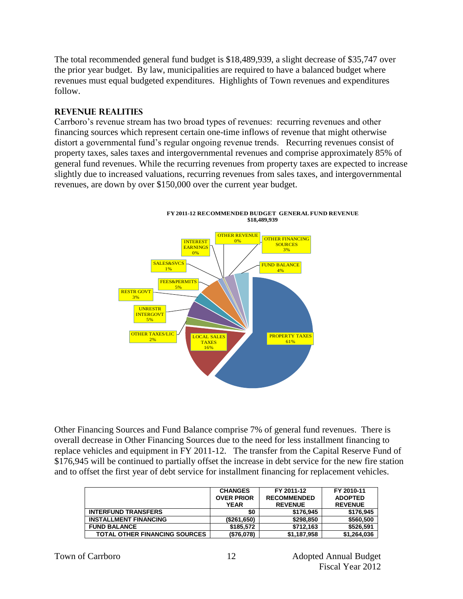The total recommended general fund budget is \$18,489,939, a slight decrease of \$35,747 over the prior year budget. By law, municipalities are required to have a balanced budget where revenues must equal budgeted expenditures. Highlights of Town revenues and expenditures follow.

#### **Revenue Realities**

Carrboro's revenue stream has two broad types of revenues: recurring revenues and other financing sources which represent certain one-time inflows of revenue that might otherwise distort a governmental fund's regular ongoing revenue trends. Recurring revenues consist of property taxes, sales taxes and intergovernmental revenues and comprise approximately 85% of general fund revenues. While the recurring revenues from property taxes are expected to increase slightly due to increased valuations, recurring revenues from sales taxes, and intergovernmental revenues, are down by over \$150,000 over the current year budget.



**FY 2011-12 RECOMMENDED BUDGET GENERAL FUND REVENUE \$18,489,939**

Other Financing Sources and Fund Balance comprise 7% of general fund revenues. There is overall decrease in Other Financing Sources due to the need for less installment financing to replace vehicles and equipment in FY 2011-12. The transfer from the Capital Reserve Fund of \$176,945 will be continued to partially offset the increase in debt service for the new fire station and to offset the first year of debt service for installment financing for replacement vehicles.

|                                      | <b>CHANGES</b>    | FY 2011-12         | FY 2010-11     |
|--------------------------------------|-------------------|--------------------|----------------|
|                                      | <b>OVER PRIOR</b> | <b>RECOMMENDED</b> | <b>ADOPTED</b> |
|                                      | <b>YEAR</b>       | <b>REVENUE</b>     | <b>REVENUE</b> |
| <b>INTERFUND TRANSFERS</b>           | \$0               | \$176,945          | \$176.945      |
| <b>INSTALLMENT FINANCING</b>         | (\$261,650)       | \$298,850          | \$560,500      |
| <b>FUND BALANCE</b>                  | \$185.572         | \$712.163          | \$526.591      |
| <b>TOTAL OTHER FINANCING SOURCES</b> | (\$76,078)        | \$1,187,958        | \$1.264.036    |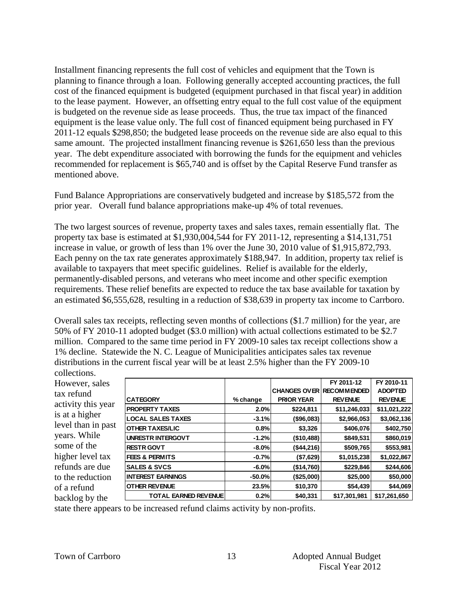Installment financing represents the full cost of vehicles and equipment that the Town is planning to finance through a loan. Following generally accepted accounting practices, the full cost of the financed equipment is budgeted (equipment purchased in that fiscal year) in addition to the lease payment. However, an offsetting entry equal to the full cost value of the equipment is budgeted on the revenue side as lease proceeds. Thus, the true tax impact of the financed equipment is the lease value only. The full cost of financed equipment being purchased in FY 2011-12 equals \$298,850; the budgeted lease proceeds on the revenue side are also equal to this same amount. The projected installment financing revenue is \$261,650 less than the previous year. The debt expenditure associated with borrowing the funds for the equipment and vehicles recommended for replacement is \$65,740 and is offset by the Capital Reserve Fund transfer as mentioned above.

Fund Balance Appropriations are conservatively budgeted and increase by \$185,572 from the prior year. Overall fund balance appropriations make-up 4% of total revenues.

The two largest sources of revenue, property taxes and sales taxes, remain essentially flat. The property tax base is estimated at \$1,930,004,544 for FY 2011-12, representing a \$14,131,751 increase in value, or growth of less than 1% over the June 30, 2010 value of \$1,915,872,793. Each penny on the tax rate generates approximately \$188,947. In addition, property tax relief is available to taxpayers that meet specific guidelines. Relief is available for the elderly, permanently-disabled persons, and veterans who meet income and other specific exemption requirements. These relief benefits are expected to reduce the tax base available for taxation by an estimated \$6,555,628, resulting in a reduction of \$38,639 in property tax income to Carrboro.

Overall sales tax receipts, reflecting seven months of collections (\$1.7 million) for the year, are 50% of FY 2010-11 adopted budget (\$3.0 million) with actual collections estimated to be \$2.7 million. Compared to the same time period in FY 2009-10 sales tax receipt collections show a 1% decline. Statewide the N. C. League of Municipalities anticipates sales tax revenue distributions in the current fiscal year will be at least 2.5% higher than the FY 2009-10 collections.

However, sales tax refund activity this year is at a higher level than in past years. While some of the higher level tax refunds are due to the reduction of a refund backlog by the

|          |                     | FY 2011-12                                                                                         | FY 2010-11           |
|----------|---------------------|----------------------------------------------------------------------------------------------------|----------------------|
|          | <b>CHANGES OVER</b> |                                                                                                    | <b>ADOPTED</b>       |
| % change | <b>PRIOR YEAR</b>   | <b>REVENUE</b>                                                                                     | <b>REVENUE</b>       |
|          | \$224,811           | \$11,246,033                                                                                       | \$11,021,222         |
|          | (\$96,083)          | \$2,966,053                                                                                        | \$3,062,136          |
|          | \$3,326             | \$406,076                                                                                          | \$402,750            |
|          | (\$10,488)          | \$849,531                                                                                          | \$860,019            |
|          | (\$44,216)          | \$509,765                                                                                          | \$553,981            |
|          | (\$7,629)           | \$1,015,238                                                                                        | \$1,022,867          |
|          | (\$14,760)          | \$229,846                                                                                          | \$244,606            |
|          | (\$25,000)          | \$25,000                                                                                           | \$50,000             |
|          | \$10,370            | \$54,439                                                                                           | \$44,069             |
|          | \$40,331            | \$17,301,981                                                                                       | \$17,261,650         |
|          |                     | 2.0%<br>$-3.1%$<br>0.8%<br>$-1.2%$<br>$-8.0\%$<br>$-0.7%$<br>$-6.0%$<br>$-50.0\%$<br>23.5%<br>0.2% | <b>I RECOMMENDED</b> |

state there appears to be increased refund claims activity by non-profits.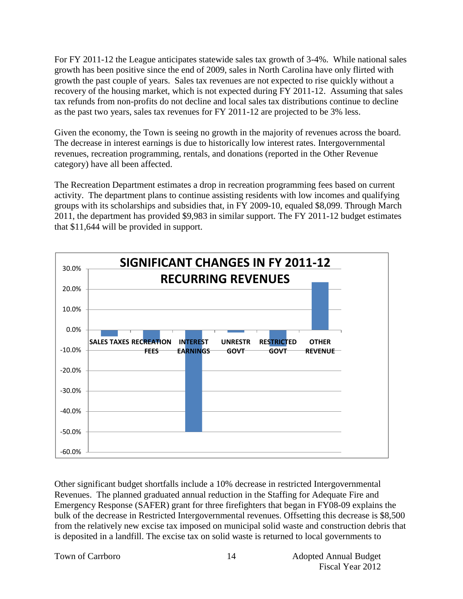For FY 2011-12 the League anticipates statewide sales tax growth of 3-4%. While national sales growth has been positive since the end of 2009, sales in North Carolina have only flirted with growth the past couple of years. Sales tax revenues are not expected to rise quickly without a recovery of the housing market, which is not expected during FY 2011-12. Assuming that sales tax refunds from non-profits do not decline and local sales tax distributions continue to decline as the past two years, sales tax revenues for FY 2011-12 are projected to be 3% less.

Given the economy, the Town is seeing no growth in the majority of revenues across the board. The decrease in interest earnings is due to historically low interest rates. Intergovernmental revenues, recreation programming, rentals, and donations (reported in the Other Revenue category) have all been affected.

The Recreation Department estimates a drop in recreation programming fees based on current activity. The department plans to continue assisting residents with low incomes and qualifying groups with its scholarships and subsidies that, in FY 2009-10, equaled \$8,099. Through March 2011, the department has provided \$9,983 in similar support. The FY 2011-12 budget estimates that \$11,644 will be provided in support.



Other significant budget shortfalls include a 10% decrease in restricted Intergovernmental Revenues. The planned graduated annual reduction in the Staffing for Adequate Fire and Emergency Response (SAFER) grant for three firefighters that began in FY08-09 explains the bulk of the decrease in Restricted Intergovernmental revenues. Offsetting this decrease is \$8,500 from the relatively new excise tax imposed on municipal solid waste and construction debris that is deposited in a landfill. The excise tax on solid waste is returned to local governments to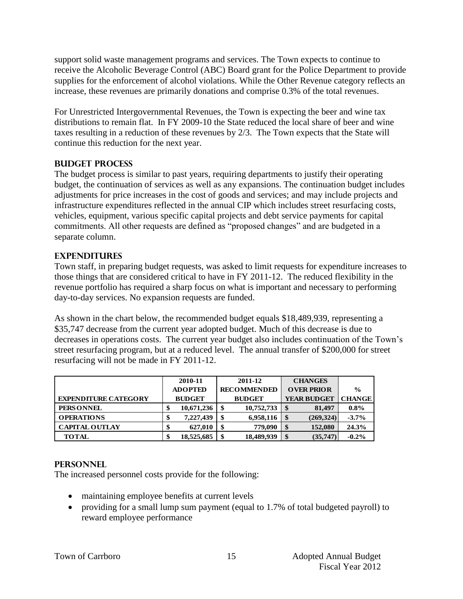support solid waste management programs and services. The Town expects to continue to receive the Alcoholic Beverage Control (ABC) Board grant for the Police Department to provide supplies for the enforcement of alcohol violations. While the Other Revenue category reflects an increase, these revenues are primarily donations and comprise 0.3% of the total revenues.

For Unrestricted Intergovernmental Revenues, the Town is expecting the beer and wine tax distributions to remain flat. In FY 2009-10 the State reduced the local share of beer and wine taxes resulting in a reduction of these revenues by 2/3. The Town expects that the State will continue this reduction for the next year.

#### **Budget Process**

The budget process is similar to past years, requiring departments to justify their operating budget, the continuation of services as well as any expansions. The continuation budget includes adjustments for price increases in the cost of goods and services; and may include projects and infrastructure expenditures reflected in the annual CIP which includes street resurfacing costs, vehicles, equipment, various specific capital projects and debt service payments for capital commitments. All other requests are defined as "proposed changes" and are budgeted in a separate column.

#### **Expenditures**

Town staff, in preparing budget requests, was asked to limit requests for expenditure increases to those things that are considered critical to have in FY 2011-12. The reduced flexibility in the revenue portfolio has required a sharp focus on what is important and necessary to performing day-to-day services. No expansion requests are funded.

As shown in the chart below, the recommended budget equals \$18,489,939, representing a \$35,747 decrease from the current year adopted budget. Much of this decrease is due to decreases in operations costs. The current year budget also includes continuation of the Town's street resurfacing program, but at a reduced level. The annual transfer of \$200,000 for street resurfacing will not be made in FY 2011-12.

|                             | 2010-11          | 2011-12            | <b>CHANGES</b>                  |               |
|-----------------------------|------------------|--------------------|---------------------------------|---------------|
|                             | <b>ADOPTED</b>   | <b>RECOMMENDED</b> | <b>OVER PRIOR</b>               | $\frac{0}{0}$ |
| <b>EXPENDITURE CATEGORY</b> | <b>BUDGET</b>    | <b>BUDGET</b>      | <b>YEAR BUDGET</b>              | <b>CHANGE</b> |
| PERS ONNEL                  | 10,671,236<br>\$ | 10,752,733<br>\$   | \$<br>81,497                    | $0.8\%$       |
| <b>OPERATIONS</b>           | 7.227.439<br>Œ   | 6,958,116<br>\$    | (269, 324)<br>$\boldsymbol{\$}$ | $-3.7\%$      |
| <b>CAPITAL OUTLAY</b>       | 627,010<br>œ     | 779,090<br>S       | 152,080<br>\$                   | 24.3%         |
| <b>TOTAL</b>                | 18,525,685<br>\$ | 18,489,939<br>\$   | \$<br>(35, 747)                 | $-0.2\%$      |

#### **Personnel**

The increased personnel costs provide for the following:

- maintaining employee benefits at current levels
- providing for a small lump sum payment (equal to 1.7% of total budgeted payroll) to reward employee performance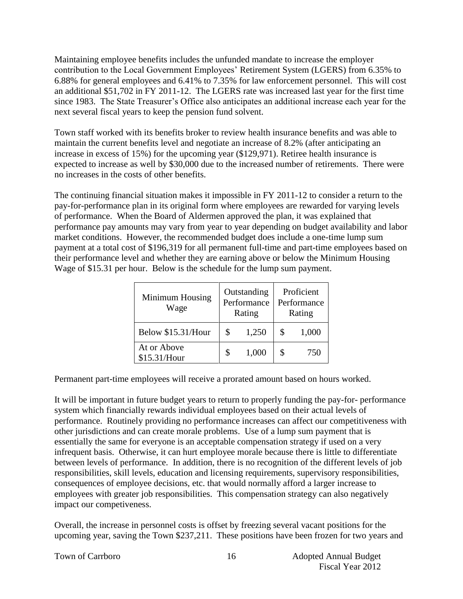Maintaining employee benefits includes the unfunded mandate to increase the employer contribution to the Local Government Employees' Retirement System (LGERS) from 6.35% to 6.88% for general employees and 6.41% to 7.35% for law enforcement personnel. This will cost an additional \$51,702 in FY 2011-12. The LGERS rate was increased last year for the first time since 1983. The State Treasurer's Office also anticipates an additional increase each year for the next several fiscal years to keep the pension fund solvent.

Town staff worked with its benefits broker to review health insurance benefits and was able to maintain the current benefits level and negotiate an increase of 8.2% (after anticipating an increase in excess of 15%) for the upcoming year (\$129,971). Retiree health insurance is expected to increase as well by \$30,000 due to the increased number of retirements. There were no increases in the costs of other benefits.

The continuing financial situation makes it impossible in FY 2011-12 to consider a return to the pay-for-performance plan in its original form where employees are rewarded for varying levels of performance. When the Board of Aldermen approved the plan, it was explained that performance pay amounts may vary from year to year depending on budget availability and labor market conditions. However, the recommended budget does include a one-time lump sum payment at a total cost of \$196,319 for all permanent full-time and part-time employees based on their performance level and whether they are earning above or below the Minimum Housing Wage of \$15.31 per hour. Below is the schedule for the lump sum payment.

| Minimum Housing<br>Wage     | Outstanding<br>Performance<br>Rating | Proficient<br>Performance<br>Rating |       |  |  |
|-----------------------------|--------------------------------------|-------------------------------------|-------|--|--|
| Below \$15.31/Hour          | \$<br>1,250                          | \$                                  | 1,000 |  |  |
| At or Above<br>\$15.31/Hour | 1,000                                |                                     | 750   |  |  |

Permanent part-time employees will receive a prorated amount based on hours worked.

It will be important in future budget years to return to properly funding the pay-for- performance system which financially rewards individual employees based on their actual levels of performance. Routinely providing no performance increases can affect our competitiveness with other jurisdictions and can create morale problems. Use of a lump sum payment that is essentially the same for everyone is an acceptable compensation strategy if used on a very infrequent basis. Otherwise, it can hurt employee morale because there is little to differentiate between levels of performance. In addition, there is no recognition of the different levels of job responsibilities, skill levels, education and licensing requirements, supervisory responsibilities, consequences of employee decisions, etc. that would normally afford a larger increase to employees with greater job responsibilities. This compensation strategy can also negatively impact our competiveness.

Overall, the increase in personnel costs is offset by freezing several vacant positions for the upcoming year, saving the Town \$237,211. These positions have been frozen for two years and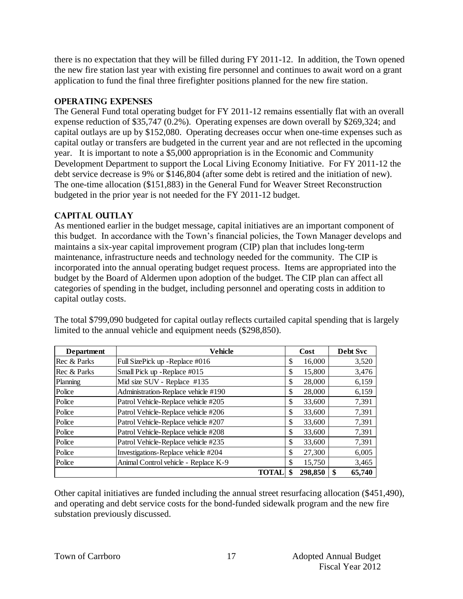there is no expectation that they will be filled during FY 2011-12. In addition, the Town opened the new fire station last year with existing fire personnel and continues to await word on a grant application to fund the final three firefighter positions planned for the new fire station.

#### **Operating Expenses**

The General Fund total operating budget for FY 2011-12 remains essentially flat with an overall expense reduction of \$35,747 (0.2%). Operating expenses are down overall by \$269,324; and capital outlays are up by \$152,080. Operating decreases occur when one-time expenses such as capital outlay or transfers are budgeted in the current year and are not reflected in the upcoming year. It is important to note a \$5,000 appropriation is in the Economic and Community Development Department to support the Local Living Economy Initiative. For FY 2011-12 the debt service decrease is 9% or \$146,804 (after some debt is retired and the initiation of new). The one-time allocation (\$151,883) in the General Fund for Weaver Street Reconstruction budgeted in the prior year is not needed for the FY 2011-12 budget.

#### **Capital Outlay**

As mentioned earlier in the budget message, capital initiatives are an important component of this budget. In accordance with the Town's financial policies, the Town Manager develops and maintains a six-year capital improvement program (CIP) plan that includes long-term maintenance, infrastructure needs and technology needed for the community. The CIP is incorporated into the annual operating budget request process. Items are appropriated into the budget by the Board of Aldermen upon adoption of the budget. The CIP plan can affect all categories of spending in the budget, including personnel and operating costs in addition to capital outlay costs.

| <b>Department</b> | <b>Vehicle</b>                       |              | Cost    | <b>Debt Svc</b> |
|-------------------|--------------------------------------|--------------|---------|-----------------|
| Rec & Parks       | Full SizePick up - Replace #016      | \$           | 16,000  | 3,520           |
| Rec & Parks       | Small Pick up - Replace #015         | \$           | 15,800  | 3,476           |
| Planning          | Mid size SUV - Replace #135          | \$           | 28,000  | 6,159           |
| Police            | Administration-Replace vehicle #190  | \$           | 28,000  | 6,159           |
| Police            | Patrol Vehicle-Replace vehicle #205  | \$           | 33,600  | 7,391           |
| Police            | Patrol Vehicle-Replace vehicle #206  | \$           | 33,600  | 7,391           |
| Police            | Patrol Vehicle-Replace vehicle #207  | \$           | 33,600  | 7,391           |
| Police            | Patrol Vehicle-Replace vehicle #208  | \$           | 33,600  | 7,391           |
| Police            | Patrol Vehicle-Replace vehicle #235  | \$           | 33,600  | 7,391           |
| Police            | Investigations-Replace vehicle #204  | \$           | 27,300  | 6,005           |
| Police            | Animal Control vehicle - Replace K-9 | S            | 15,750  | 3,465           |
|                   |                                      | <b>TOTAL</b> | 298,850 | 65,740          |

The total \$799,090 budgeted for capital outlay reflects curtailed capital spending that is largely limited to the annual vehicle and equipment needs (\$298,850).

Other capital initiatives are funded including the annual street resurfacing allocation (\$451,490), and operating and debt service costs for the bond-funded sidewalk program and the new fire substation previously discussed.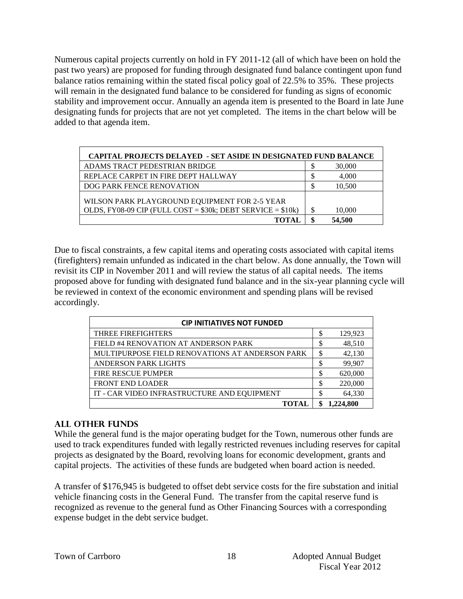Numerous capital projects currently on hold in FY 2011-12 (all of which have been on hold the past two years) are proposed for funding through designated fund balance contingent upon fund balance ratios remaining within the stated fiscal policy goal of 22.5% to 35%. These projects will remain in the designated fund balance to be considered for funding as signs of economic stability and improvement occur. Annually an agenda item is presented to the Board in late June designating funds for projects that are not yet completed. The items in the chart below will be added to that agenda item.

| <b>CAPITAL PROJECTS DELAYED - SET ASIDE IN DESIGNATED FUND BALANCE</b>                                           |        |
|------------------------------------------------------------------------------------------------------------------|--------|
| ADAMS TRACT PEDESTRIAN BRIDGE                                                                                    | 30,000 |
| REPLACE CARPET IN FIRE DEPT HALLWAY                                                                              | 4,000  |
| DOG PARK FENCE RENOVATION                                                                                        | 10,500 |
| WILSON PARK PLAYGROUND EQUIPMENT FOR 2-5 YEAR<br>OLDS, FY08-09 CIP (FULL COST = $$30k$ ; DEBT SERVICE = $$10k$ ) | 10,000 |
|                                                                                                                  | 54,500 |

Due to fiscal constraints, a few capital items and operating costs associated with capital items (firefighters) remain unfunded as indicated in the chart below. As done annually, the Town will revisit its CIP in November 2011 and will review the status of all capital needs. The items proposed above for funding with designated fund balance and in the six-year planning cycle will be reviewed in context of the economic environment and spending plans will be revised accordingly.

| <b>CIP INITIATIVES NOT FUNDED</b>               |    |          |  |  |  |  |  |
|-------------------------------------------------|----|----------|--|--|--|--|--|
| <b>THREE FIREFIGHTERS</b>                       | \$ | 129,923  |  |  |  |  |  |
| FIELD #4 RENOVATION AT ANDERSON PARK            | Φ  | 48,510   |  |  |  |  |  |
| MULTIPURPOSE FIELD RENOVATIONS AT ANDERSON PARK |    | 42,130   |  |  |  |  |  |
| <b>ANDERSON PARK LIGHTS</b>                     | \$ | 99,907   |  |  |  |  |  |
| <b>FIRE RESCUE PUMPER</b>                       | \$ | 620,000  |  |  |  |  |  |
| <b>FRONT END LOADER</b>                         | \$ | 220,000  |  |  |  |  |  |
| IT - CAR VIDEO INFRASTRUCTURE AND EQUIPMENT     |    | 64,330   |  |  |  |  |  |
| TOTAL                                           |    | .224.800 |  |  |  |  |  |

#### **All Other Funds**

While the general fund is the major operating budget for the Town, numerous other funds are used to track expenditures funded with legally restricted revenues including reserves for capital projects as designated by the Board, revolving loans for economic development, grants and capital projects. The activities of these funds are budgeted when board action is needed.

A transfer of \$176,945 is budgeted to offset debt service costs for the fire substation and initial vehicle financing costs in the General Fund. The transfer from the capital reserve fund is recognized as revenue to the general fund as Other Financing Sources with a corresponding expense budget in the debt service budget.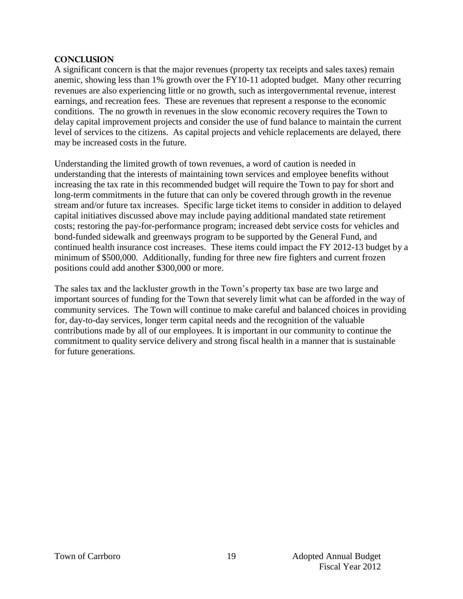#### **Conclusion**

A significant concern is that the major revenues (property tax receipts and sales taxes) remain anemic, showing less than 1% growth over the FY10-11 adopted budget. Many other recurring revenues are also experiencing little or no growth, such as intergovernmental revenue, interest earnings, and recreation fees. These are revenues that represent a response to the economic conditions. The no growth in revenues in the slow economic recovery requires the Town to delay capital improvement projects and consider the use of fund balance to maintain the current level of services to the citizens. As capital projects and vehicle replacements are delayed, there may be increased costs in the future.

Understanding the limited growth of town revenues, a word of caution is needed in understanding that the interests of maintaining town services and employee benefits without increasing the tax rate in this recommended budget will require the Town to pay for short and long-term commitments in the future that can only be covered through growth in the revenue stream and/or future tax increases. Specific large ticket items to consider in addition to delayed capital initiatives discussed above may include paying additional mandated state retirement costs; restoring the pay-for-performance program; increased debt service costs for vehicles and bond-funded sidewalk and greenways program to be supported by the General Fund, and continued health insurance cost increases. These items could impact the FY 2012-13 budget by a minimum of \$500,000. Additionally, funding for three new fire fighters and current frozen positions could add another \$300,000 or more.

The sales tax and the lackluster growth in the Town's property tax base are two large and important sources of funding for the Town that severely limit what can be afforded in the way of community services. The Town will continue to make careful and balanced choices in providing for, day-to-day services, longer term capital needs and the recognition of the valuable contributions made by all of our employees. It is important in our community to continue the commitment to quality service delivery and strong fiscal health in a manner that is sustainable for future generations.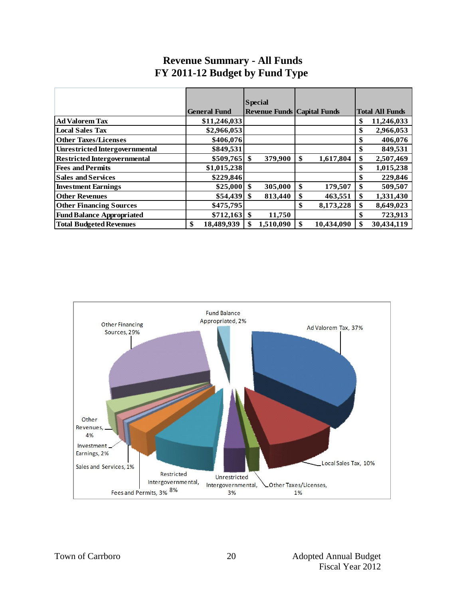|                                       |                     | <b>Special</b>                       |                             |                        |
|---------------------------------------|---------------------|--------------------------------------|-----------------------------|------------------------|
|                                       | <b>General Fund</b> | <b>Revenue Funds   Capital Funds</b> |                             | <b>Total All Funds</b> |
| <b>Ad Valorem Tax</b>                 | \$11,246,033        |                                      |                             | \$<br>11,246,033       |
| <b>Local Sales Tax</b>                | \$2,966,053         |                                      |                             | \$<br>2,966,053        |
| <b>Other Taxes/Licenses</b>           | \$406,076           |                                      |                             | 406,076<br>\$          |
| <b>Unrestricted Intergovernmental</b> | \$849,531           |                                      |                             | 849,531<br>\$          |
| <b>Restricted Intergovernmental</b>   | $$509,765$ \$       | 379,900                              | \$<br>1,617,804             | \$<br>2,507,469        |
| <b>Fees and Permits</b>               | \$1,015,238         |                                      |                             | 1,015,238<br>\$        |
| <b>Sales and Services</b>             | \$229,846           |                                      |                             | 229,846<br>\$          |
| <b>Investment Earnings</b>            | $$25,000$ \ \$      | 305,000                              | \$<br>179,507               | \$<br>509,507          |
| <b>Other Revenues</b>                 | \$54,439            | 813,440<br>-\$                       | \$<br>463,551               | \$<br>1,331,430        |
| <b>Other Financing Sources</b>        | \$475,795           |                                      | \$<br>8,173,228             | \$<br>8,649,023        |
| <b>Fund Balance Appropriated</b>      |                     | 11,750                               |                             | 723,913<br>\$          |
| <b>Total Budgeted Revenues</b>        | \$<br>18,489,939    | 1,510,090                            | $\mathbf{\$}$<br>10,434,090 | \$<br>30,434,119       |

# **Revenue Summary - All Funds FY 2011-12 Budget by Fund Type**

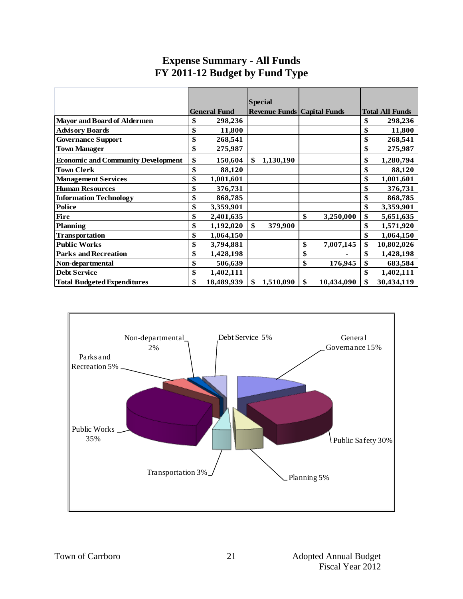|                                           |                     | <b>Special</b>                     |                  |                        |
|-------------------------------------------|---------------------|------------------------------------|------------------|------------------------|
|                                           | <b>General Fund</b> | <b>Revenue Funds Capital Funds</b> |                  | <b>Total All Funds</b> |
| <b>Mayor and Board of Aldermen</b>        | \$<br>298,236       |                                    |                  | \$<br>298,236          |
| <b>Advisory Boards</b>                    | \$<br>11,800        |                                    |                  | \$<br>11,800           |
| <b>Governance Support</b>                 | \$<br>268,541       |                                    |                  | \$<br>268,541          |
| <b>Town Manager</b>                       | \$<br>275,987       |                                    |                  | \$<br>275,987          |
| <b>Economic and Community Development</b> | \$<br>150,604       | \$<br>1,130,190                    |                  | \$<br>1,280,794        |
| <b>Town Clerk</b>                         | \$<br>88,120        |                                    |                  | \$<br>88,120           |
| <b>Management Services</b>                | \$<br>1,001,601     |                                    |                  | \$<br>1,001,601        |
| <b>Human Resources</b>                    | \$<br>376,731       |                                    |                  | \$<br>376,731          |
| <b>Information Technology</b>             | \$<br>868,785       |                                    |                  | \$<br>868,785          |
| <b>Police</b>                             | \$<br>3,359,901     |                                    |                  | \$<br>3,359,901        |
| <b>Fire</b>                               | \$<br>2,401,635     |                                    | \$<br>3,250,000  | \$<br>5,651,635        |
| <b>Planning</b>                           | \$<br>1,192,020     | \$<br>379,900                      |                  | \$<br>1,571,920        |
| <b>Transportation</b>                     | \$<br>1,064,150     |                                    |                  | \$<br>1,064,150        |
| <b>Public Works</b>                       | \$<br>3,794,881     |                                    | \$<br>7,007,145  | \$<br>10,802,026       |
| <b>Parks and Recreation</b>               | \$<br>1,428,198     |                                    | \$               | \$<br>1,428,198        |
| Non-departmental                          | \$<br>506,639       |                                    | \$<br>176,945    | \$<br>683,584          |
| <b>Debt Service</b>                       | \$<br>1,402,111     |                                    |                  | \$<br>1,402,111        |
| <b>Total Budgeted Expenditures</b>        | \$<br>18,489,939    | \$<br>1,510,090                    | \$<br>10,434,090 | \$<br>30,434,119       |

# **Expense Summary - All Funds FY 2011-12 Budget by Fund Type**

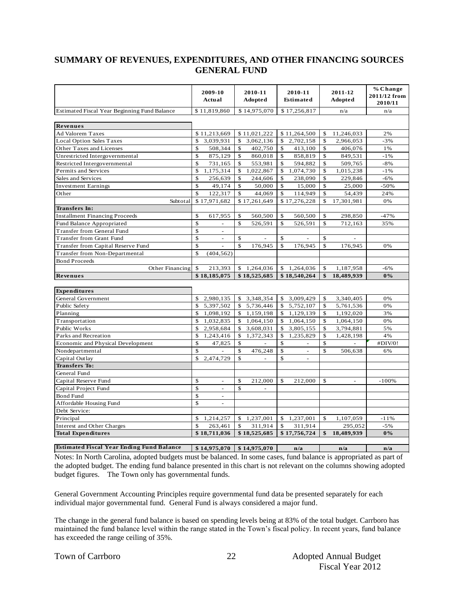#### **SUMMARY OF REVENUES, EXPENDITURES, AND OTHER FINANCING SOURCES GENERAL FUND**

|                                                                                                                                                                        | 2009-10<br>Actual              | 2010-11<br>Adopted                      | 2010-11<br>Estimated         | 2011-12<br>Adopted           | % Change<br>2011/12 from<br>2010/11 |
|------------------------------------------------------------------------------------------------------------------------------------------------------------------------|--------------------------------|-----------------------------------------|------------------------------|------------------------------|-------------------------------------|
| <b>Estimated Fiscal Year Beginning Fund Balance</b>                                                                                                                    | \$11,819,860                   | \$14,975,070                            | \$17,256,817                 | n/a                          | n/a                                 |
|                                                                                                                                                                        |                                |                                         |                              |                              |                                     |
| Revenues                                                                                                                                                               |                                |                                         |                              |                              |                                     |
| Ad Valorem Taxes                                                                                                                                                       | \$11,213,669                   | \$11,021,222                            | \$11,264,500                 | \$<br>11,246,033             | 2%                                  |
| Local Option Sales Taxes                                                                                                                                               | \$<br>3,039,931                | 3,062,136<br>\$                         | 2,702,158<br>\$              | 2,966,053<br>\$              | $-3%$                               |
| Other Taxes and Licenses                                                                                                                                               | \$<br>508,344                  | 402,750<br>\$                           | 413,100<br>\$                | 406,076<br>\$                | 1%                                  |
| Unrestricted Intergovernmental                                                                                                                                         | \$<br>875,129                  | \$<br>860,018                           | \$<br>858,819                | \$<br>849,531                | $\sim\!1\,\%$                       |
| Restricted Intergovernmental                                                                                                                                           | \$<br>731,165                  | \$<br>553,981                           | \$<br>594,882                | \$<br>509,765                | $-8%$                               |
| Permits and Services                                                                                                                                                   | \$<br>1,175,314                | \$<br>1,022,867                         | \$<br>1,074,730              | \$<br>1,015,238              | $-1%$                               |
| Sales and Services                                                                                                                                                     | \$<br>256,639                  | \$<br>244,606                           | \$<br>238,090                | $\mathbf S$<br>229,846       | $-6%$                               |
| <b>Investment Earnings</b>                                                                                                                                             | \$<br>49,174                   | \$<br>50,000                            | \$<br>15,000                 | \$<br>25,000                 | $-50%$                              |
| Other                                                                                                                                                                  | $\mathbb{S}$<br>122,317        | $\mathbb{S}$<br>44.069                  | $\mathbf S$<br>114,949       | $\mathbb{S}$<br>54.439       | 24%                                 |
| Subtotal                                                                                                                                                               | \$17,971,682                   | \$17,261,649                            | \$17,276,228                 | \$<br>17,301,981             | 0%                                  |
| Transfers In:                                                                                                                                                          |                                |                                         |                              |                              |                                     |
| <b>Installment Financing Proceeds</b>                                                                                                                                  | \$<br>617,955<br>$\mathbf S$   | $\mathbb{S}$<br>560,500<br>$\mathbb{S}$ | \$<br>560,500<br>$\mathbf S$ | 298,850<br>\$<br>$\mathbf S$ | $-47%$                              |
| Fund Balance Appropriated<br><b>Transfer from General Fund</b>                                                                                                         | \$<br>÷,                       | 526,591                                 | 526,591                      | 712,163                      | 35%                                 |
| Transfer from Grant Fund                                                                                                                                               | \$<br>$\overline{a}$           | \$                                      | \$                           | S.                           |                                     |
| Transfer from Capital Reserve Fund                                                                                                                                     | \$<br>÷,                       | $\mathbb{S}$<br>176,945                 | \$<br>176,945                | $\mathbb{S}$<br>176,945      | 0%                                  |
| Transfer from Non-Departmental                                                                                                                                         | $\mathbf S$<br>(404, 562)      |                                         |                              |                              |                                     |
| <b>Bond Proceeds</b>                                                                                                                                                   |                                |                                         |                              |                              |                                     |
| Other Financing                                                                                                                                                        | \$<br>213,393                  | \$<br>1,264,036                         | \$<br>1,264,036              | \$<br>1,187,958              | $-6%$                               |
| Revenues                                                                                                                                                               | \$18,185,075                   | \$18,525,685                            | \$18,540,264                 | \$<br>18,489,939             | $0\%$                               |
|                                                                                                                                                                        |                                |                                         |                              |                              |                                     |
| Expenditures                                                                                                                                                           |                                |                                         |                              |                              |                                     |
| General Government                                                                                                                                                     | \$<br>2,980,135                | 3,348,354<br>\$                         | 3,009,429<br>\$              | $\mathbb{S}$<br>3,340,405    | 0%                                  |
| Public Safety                                                                                                                                                          | $\mathbb{S}$<br>5,397,502      | \$ 5,736,446                            | 5,752,107<br>\$              | $\mathbb{S}$<br>5,761,536    | 0%                                  |
| Planning                                                                                                                                                               | 1,098,192<br>$\mathbb{S}$      | \$1,159,198                             | 1,129,139<br>\$              | $\mathbb{S}$<br>1,192,020    | 3%                                  |
| Transportation                                                                                                                                                         | 1,032,835<br>\$                | 1,064,150<br>\$                         | 1,064,150<br>\$              | \$<br>1,064,150              | 0%                                  |
| Public Works                                                                                                                                                           | $\mathbb{S}$<br>2,958,684      | $\mathbb{S}$<br>3,608,031               | S.<br>3,805,155              | S.<br>3,794,881              | 5%                                  |
| Parks and Recreation                                                                                                                                                   | \$<br>1,243,416                | 1,372,343<br>\$                         | \$<br>1,235,829              | \$<br>1,428,198              | 4%                                  |
| Economic and Physical Development                                                                                                                                      | \$<br>47,825                   | \$<br>$\mathbf{r}$                      | \$<br>$\mathbf{r}$           | \$                           | #DIV/0!                             |
| Nondepartmental                                                                                                                                                        | \$                             | \$<br>476,248                           | \$<br>$\sim$                 | $\mathbb{S}$<br>506,638      | 6%                                  |
| Capital Outlay                                                                                                                                                         | \$<br>2,474,729                | $\mathbb{S}$<br>$\blacksquare$          | \$<br>$\omega$               |                              |                                     |
| <b>Transfers To:</b>                                                                                                                                                   |                                |                                         |                              |                              |                                     |
| General Fund                                                                                                                                                           |                                |                                         |                              |                              |                                     |
| Capital Reserve Fund                                                                                                                                                   | \$<br>$\sim$                   | \$<br>212,000                           | \$<br>212,000                | \$<br>$\sim$                 | $-100%$                             |
| Capital Project Fund                                                                                                                                                   | \$<br>$\blacksquare$           | $\mathbb{S}$<br>$\sim$                  |                              |                              |                                     |
| Bond Fund                                                                                                                                                              | \$<br>$\blacksquare$           |                                         |                              |                              |                                     |
| Affordable Housing Fund                                                                                                                                                | \$<br>$\overline{\phantom{a}}$ |                                         |                              |                              |                                     |
| Debt Service:                                                                                                                                                          |                                |                                         |                              |                              |                                     |
| Principal                                                                                                                                                              | \$<br>1,214,257                | \$<br>1,237,001                         | 1,237,001<br>\$              | \$<br>1,107,059              | $-11%$                              |
| Interest and Other Charges                                                                                                                                             | \$<br>263,461                  | \$<br>311,914                           | \$<br>311,914                | 295,052                      | $-5%$                               |
|                                                                                                                                                                        |                                |                                         |                              |                              |                                     |
| <b>Total Expenditures</b>                                                                                                                                              | \$18,711,036                   | \$18,525,685                            | \$17,756,724                 | \$<br>18,489,939             | $0\%$                               |
|                                                                                                                                                                        |                                |                                         |                              |                              |                                     |
| <b>Estimated Fiscal Year Ending Fund Balance</b><br>Notes: In North Carolina, adopted budgets must be balanced. In some cases, fund balance is appropriated as part of | \$14,975,070                   | \$14,975,070                            | n/a                          | n/a                          | n/a                                 |

the adopted budget. The ending fund balance presented in this chart is not relevant on the columns showing adopted budget figures.The Town only has governmental funds.

General Government Accounting Principles require governmental fund data be presented separately for each individual major governmental fund. General Fund is always considered a major fund.

The change in the general fund balance is based on spending levels being at 83% of the total budget. Carrboro has maintained the fund balance level within the range stated in the Town's fiscal policy. In recent years, fund balance has exceeded the range ceiling of 35%.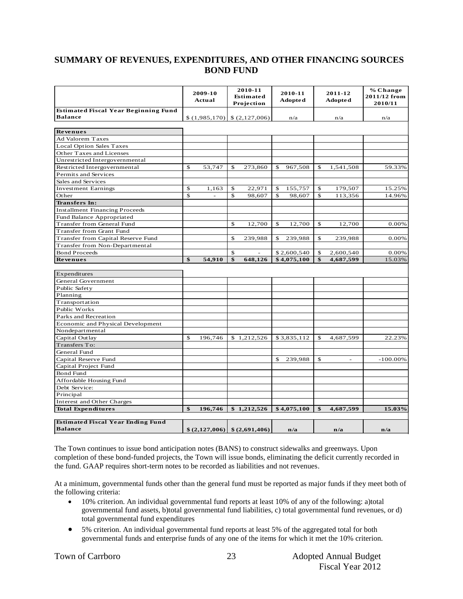#### **SUMMARY OF REVENUES, EXPENDITURES, AND OTHER FINANCING SOURCES BOND FUND**

|                                             | 2009-10<br>Actual |              | 2010-11<br>Estimated<br>Projection                                    |             | 2010-11<br><b>Adopted</b> | 2011-12<br><b>Adopted</b> | % Change<br>2011/12 from<br>2010/11 |
|---------------------------------------------|-------------------|--------------|-----------------------------------------------------------------------|-------------|---------------------------|---------------------------|-------------------------------------|
| <b>Estimated Fiscal Year Beginning Fund</b> |                   |              |                                                                       |             |                           |                           |                                     |
| <b>Balance</b>                              | \$(1,985,170)     |              | \$(2,127,006)                                                         |             | n/a                       | n/a                       | n/a                                 |
| <b>Revenues</b>                             |                   |              |                                                                       |             |                           |                           |                                     |
|                                             |                   |              |                                                                       |             |                           |                           |                                     |
| Ad Valorem Taxes                            |                   |              |                                                                       |             |                           |                           |                                     |
| Local Option Sales Taxes                    |                   |              |                                                                       |             |                           |                           |                                     |
| Other Taxes and Licenses                    |                   |              |                                                                       |             |                           |                           |                                     |
| Unrestricted Intergovernmental              | \$                |              |                                                                       |             |                           |                           |                                     |
| Restricted Intergovernmental                | 53,747            | \$           | 273,860                                                               | \$          | 967,508                   | \$<br>1,541,508           | 59.33%                              |
| Permits and Services                        |                   |              |                                                                       |             |                           |                           |                                     |
| Sales and Services                          |                   |              |                                                                       |             |                           |                           |                                     |
| <b>Investment Earnings</b>                  | \$<br>1,163       | \$           | 22,971                                                                | \$          | 155,757                   | \$<br>179,507             | 15.25%                              |
| Other                                       | \$                | \$           | 98,607                                                                | $\mathbf S$ | 98,607                    | \$<br>113,356             | 14.96%                              |
| <b>Transfers</b> In:                        |                   |              |                                                                       |             |                           |                           |                                     |
| <b>Installment Financing Proceeds</b>       |                   |              |                                                                       |             |                           |                           |                                     |
| Fund Balance Appropriated                   |                   |              |                                                                       |             |                           |                           |                                     |
| Transfer from General Fund                  |                   | \$           | 12,700                                                                | \$          | 12,700                    | \$<br>12,700              | 0.00%                               |
| Transfer from Grant Fund                    |                   |              |                                                                       |             |                           |                           |                                     |
| Transfer from Capital Reserve Fund          |                   | \$           | 239,988                                                               | \$          | 239,988                   | \$<br>239,988             | 0.00%                               |
| Transfer from Non-Departmental              |                   |              |                                                                       |             |                           |                           |                                     |
| <b>Bond Proceeds</b>                        |                   | \$           |                                                                       |             | \$2,600,540               | \$<br>2,600,540           | 0.00%                               |
| Revenues                                    | \$<br>54,910      | $\mathbf{s}$ | 648,126                                                               |             | \$4,075,100               | \$<br>4,687,599           | 15.03%                              |
|                                             |                   |              |                                                                       |             |                           |                           |                                     |
| Expenditures                                |                   |              |                                                                       |             |                           |                           |                                     |
| General Government                          |                   |              |                                                                       |             |                           |                           |                                     |
| Public Safety                               |                   |              |                                                                       |             |                           |                           |                                     |
| Planning                                    |                   |              |                                                                       |             |                           |                           |                                     |
| Transportation                              |                   |              |                                                                       |             |                           |                           |                                     |
| Public Works                                |                   |              |                                                                       |             |                           |                           |                                     |
| Parks and Recreation                        |                   |              |                                                                       |             |                           |                           |                                     |
| Economic and Physical Development           |                   |              |                                                                       |             |                           |                           |                                     |
| Nondepartmental                             |                   |              |                                                                       |             |                           |                           |                                     |
| Capital Outlay                              | \$<br>196,746     |              | \$1,212,526                                                           |             | \$3,835,112               | \$<br>4,687,599           | 22.23%                              |
| Transfers To:                               |                   |              |                                                                       |             |                           |                           |                                     |
| General Fund                                |                   |              |                                                                       |             |                           |                           |                                     |
| Capital Reserve Fund                        |                   |              |                                                                       | \$          | 239,988                   | \$                        | $-100.00\%$                         |
| Capital Project Fund                        |                   |              |                                                                       |             |                           |                           |                                     |
| Bond Fund                                   |                   |              |                                                                       |             |                           |                           |                                     |
| Affordable Housing Fund                     |                   |              |                                                                       |             |                           |                           |                                     |
| Debt Service:                               |                   |              |                                                                       |             |                           |                           |                                     |
| Principal                                   |                   |              |                                                                       |             |                           |                           |                                     |
| Interest and Other Charges                  |                   |              |                                                                       |             |                           |                           |                                     |
| <b>Total Expenditures</b>                   | \$<br>196,746     |              | \$1,212,526                                                           |             | \$4,075,100               | \$<br>4,687,599           | 15.03%                              |
|                                             |                   |              |                                                                       |             |                           |                           |                                     |
| <b>Estimated Fiscal Year Ending Fund</b>    |                   |              |                                                                       |             |                           |                           |                                     |
| <b>Balance</b>                              |                   |              | $\left  \frac{6}{2427,006} \right  \left  \frac{6}{2691,406} \right $ |             | n/a                       | n/a                       | n/a                                 |
|                                             |                   |              |                                                                       |             |                           |                           |                                     |

The Town continues to issue bond anticipation notes (BANS) to construct sidewalks and greenways. Upon completion of these bond-funded projects, the Town will issue bonds, eliminating the deficit currently recorded in the fund. GAAP requires short-term notes to be recorded as liabilities and not revenues.

At a minimum, governmental funds other than the general fund must be reported as major funds if they meet both of the following criteria:

- 10% criterion. An individual governmental fund reports at least 10% of any of the following: a)total governmental fund assets, b)total governmental fund liabilities, c) total governmental fund revenues, or d) total governmental fund expenditures
- 5% criterion. An individual governmental fund reports at least 5% of the aggregated total for both governmental funds and enterprise funds of any one of the items for which it met the 10% criterion.

23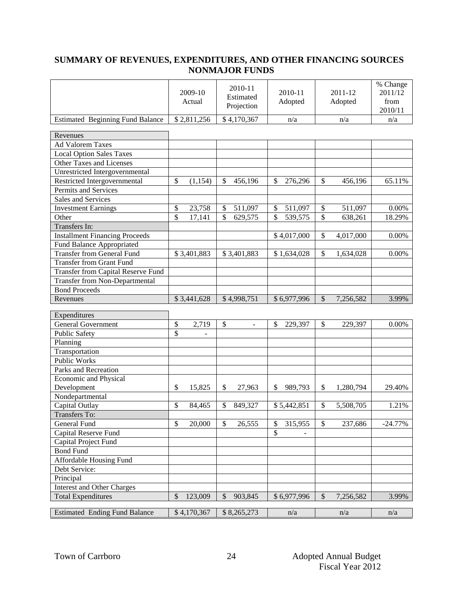### **SUMMARY OF REVENUES, EXPENDITURES, AND OTHER FINANCING SOURCES NONMAJOR FUNDS**

|                                         | 2009-10<br>Actual          | 2010-11<br>Estimated<br>Projection  | 2010-11<br>Adopted | 2011-12<br>Adopted                     | % Change<br>2011/12<br>from<br>2010/11 |
|-----------------------------------------|----------------------------|-------------------------------------|--------------------|----------------------------------------|----------------------------------------|
| <b>Estimated Beginning Fund Balance</b> | \$2,811,256                | \$4,170,367                         | n/a                | n/a                                    | n/a                                    |
| Revenues                                |                            |                                     |                    |                                        |                                        |
| <b>Ad Valorem Taxes</b>                 |                            |                                     |                    |                                        |                                        |
| <b>Local Option Sales Taxes</b>         |                            |                                     |                    |                                        |                                        |
| Other Taxes and Licenses                |                            |                                     |                    |                                        |                                        |
| Unrestricted Intergovernmental          |                            |                                     |                    |                                        |                                        |
| Restricted Intergovernmental            | \$<br>(1, 154)             | \$<br>456,196                       | \$<br>276,296      | \$<br>456,196                          | 65.11%                                 |
| Permits and Services                    |                            |                                     |                    |                                        |                                        |
| Sales and Services                      |                            |                                     |                    |                                        |                                        |
|                                         |                            |                                     |                    |                                        |                                        |
| <b>Investment Earnings</b>              | \$<br>23,758               | \$<br>511,097                       | \$<br>511,097      | $\$$<br>511,097                        | 0.00%                                  |
| Other                                   | \$<br>17,141               | $\overline{\mathcal{S}}$<br>629,575 | \$<br>539,575      | \$<br>638,261                          | 18.29%                                 |
| <b>Transfers In:</b>                    |                            |                                     |                    |                                        |                                        |
| <b>Installment Financing Proceeds</b>   |                            |                                     | \$4,017,000        | \$<br>4,017,000                        | 0.00%                                  |
| Fund Balance Appropriated               |                            |                                     |                    |                                        |                                        |
| <b>Transfer from General Fund</b>       | \$3,401,883                | \$3,401,883                         | \$1,634,028        | $\mathcal{S}$<br>1,634,028             | 0.00%                                  |
| <b>Transfer from Grant Fund</b>         |                            |                                     |                    |                                        |                                        |
| Transfer from Capital Reserve Fund      |                            |                                     |                    |                                        |                                        |
| <b>Transfer from Non-Departmental</b>   |                            |                                     |                    |                                        |                                        |
| <b>Bond Proceeds</b>                    |                            |                                     |                    |                                        |                                        |
| Revenues                                | \$3,441,628                | \$4,998,751                         | \$6,977,996        | $\mathcal{S}$<br>7,256,582             | 3.99%                                  |
|                                         |                            |                                     |                    |                                        |                                        |
| Expenditures                            |                            |                                     |                    |                                        |                                        |
| <b>General Government</b>               | $\boldsymbol{\$}$<br>2,719 | \$<br>$\blacksquare$                | \$<br>229,397      | \$<br>229,397                          | 0.00%                                  |
| <b>Public Safety</b>                    | \$                         |                                     |                    |                                        |                                        |
| Planning                                |                            |                                     |                    |                                        |                                        |
| Transportation                          |                            |                                     |                    |                                        |                                        |
| <b>Public Works</b>                     |                            |                                     |                    |                                        |                                        |
| Parks and Recreation                    |                            |                                     |                    |                                        |                                        |
| <b>Economic and Physical</b>            |                            |                                     |                    |                                        |                                        |
| Development                             | \$<br>15,825               | \$<br>27,963                        | \$<br>989,793      | \$<br>1,280,794                        | 29.40%                                 |
| Nondepartmental                         |                            |                                     |                    |                                        |                                        |
| Capital Outlay                          | \$<br>84,465               | \$<br>849,327                       | \$5,442,851        | \$<br>5,508,705                        | 1.21%                                  |
| Transfers To:                           |                            |                                     |                    |                                        |                                        |
| General Fund                            | \$<br>20,000               | \$<br>26,555                        | \$<br>315,955      | \$<br>237,686                          | $-24.77%$                              |
| Capital Reserve Fund                    |                            |                                     | \$                 |                                        |                                        |
| Capital Project Fund                    |                            |                                     |                    |                                        |                                        |
| <b>Bond Fund</b>                        |                            |                                     |                    |                                        |                                        |
| <b>Affordable Housing Fund</b>          |                            |                                     |                    |                                        |                                        |
|                                         |                            |                                     |                    |                                        |                                        |
| Debt Service:                           |                            |                                     |                    |                                        |                                        |
| Principal                               |                            |                                     |                    |                                        |                                        |
| <b>Interest and Other Charges</b>       |                            |                                     |                    |                                        |                                        |
| <b>Total Expenditures</b>               | \$<br>123,009              | \$<br>903,845                       | \$6,977,996        | $\boldsymbol{\mathsf{S}}$<br>7,256,582 | 3.99%                                  |
| <b>Estimated Ending Fund Balance</b>    | \$4,170,367                | \$8,265,273                         | n/a                | n/a                                    | n/a                                    |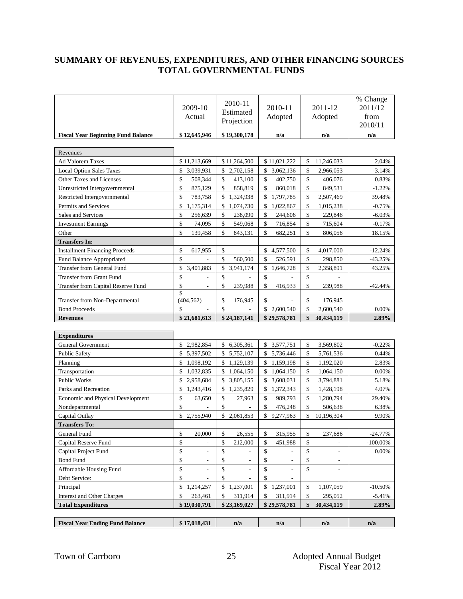#### **SUMMARY OF REVENUES, EXPENDITURES, AND OTHER FINANCING SOURCES TOTAL GOVERNMENTAL FUNDS**

|                                           | 2009-10<br>Actual              | 2010-11<br>Estimated<br>Projection | 2010-11<br>Adopted      | 2011-12<br>Adopted       | % Change<br>2011/12<br>from<br>2010/11 |
|-------------------------------------------|--------------------------------|------------------------------------|-------------------------|--------------------------|----------------------------------------|
| <b>Fiscal Year Beginning Fund Balance</b> | \$12,645,946                   | \$19,300,178                       | n/a                     | n/a                      | n/a                                    |
|                                           |                                |                                    |                         |                          |                                        |
| Revenues<br>Ad Valorem Taxes              | \$11,213,669                   | \$11,264,500                       | \$11,021,222            | 11,246,033<br>\$         | 2.04%                                  |
| <b>Local Option Sales Taxes</b>           | 3,039,931<br>\$                | \$2,702,158                        | 3,062,136<br>\$         | 2,966,053<br>\$          | $-3.14%$                               |
| Other Taxes and Licenses                  | \$<br>508,344                  | \$<br>413,100                      | \$<br>402,750           | \$<br>406,076            | 0.83%                                  |
| Unrestricted Intergovernmental            | \$<br>875,129                  | \$<br>858,819                      | \$<br>860,018           | \$<br>849,531            | $-1.22%$                               |
| Restricted Intergovernmental              | \$<br>783,758                  | \$<br>1,324,938                    | \$<br>1,797,785         | \$<br>2,507,469          | 39.48%                                 |
| Permits and Services                      | \$<br>1,175,314                | \$<br>1,074,730                    | 1,022,867<br>\$         | \$<br>1,015,238          | $-0.75%$                               |
| Sales and Services                        | \$<br>256,639                  | \$<br>238,090                      | \$<br>244,606           | \$<br>229,846            | $-6.03%$                               |
| <b>Investment Earnings</b>                | \$<br>74,095                   | \$<br>549,068                      | \$<br>716,854           | \$<br>715,604            | $-0.17%$                               |
| Other                                     | \$<br>139,458                  | \$<br>843,131                      | \$<br>682,251           | \$<br>806,056            | 18.15%                                 |
| <b>Transfers In:</b>                      |                                |                                    |                         |                          |                                        |
| <b>Installment Financing Proceeds</b>     | \$<br>617,955                  | \$<br>$\overline{\phantom{a}}$     | \$<br>4,577,500         | \$<br>4,017,000          | $-12.24%$                              |
| Fund Balance Appropriated                 | \$                             | \$<br>560,500                      | \$<br>526,591           | \$<br>298,850            | $-43.25%$                              |
| <b>Transfer from General Fund</b>         | \$<br>3,401,883                | \$<br>3,941,174                    | \$<br>1,646,728         | \$<br>2,358,891          | 43.25%                                 |
| <b>Transfer from Grant Fund</b>           | \$<br>$\overline{\phantom{a}}$ | \$                                 | \$                      | \$                       |                                        |
| Transfer from Capital Reserve Fund        | \$<br>$\overline{\phantom{a}}$ | \$<br>239,988                      | \$<br>416,933           | \$<br>239,988            | $-42.44%$                              |
|                                           | \$                             |                                    |                         |                          |                                        |
| Transfer from Non-Departmental            | (404, 562)                     | \$<br>176,945                      | \$                      | \$<br>176,945            |                                        |
| <b>Bond Proceeds</b>                      | \$                             | \$                                 | \$2,600,540             | \$<br>2,600,540          | 0.00%                                  |
| <b>Revenues</b>                           | \$21,681,613                   | \$24,187,141                       | \$29,578,781            | \$<br>30,434,119         | 2.89%                                  |
|                                           |                                |                                    |                         |                          |                                        |
| <b>Expenditures</b>                       |                                |                                    |                         |                          |                                        |
| <b>General Government</b>                 | \$<br>2,982,854                | \$<br>6,305,361                    | \$3,577,751             | \$<br>3,569,802          | $-0.22%$                               |
| Public Safety                             | \$<br>5,397,502                | \$<br>5,752,107                    | 5,736,446<br>\$         | \$<br>5,761,536          | 0.44%                                  |
| Planning                                  | \$<br>1,098,192                | \$<br>1,129,139                    | \$<br>1,159,198         | \$<br>1,192,020          | 2.83%                                  |
| Transportation                            | \$<br>1,032,835                | 1,064,150<br>\$                    | \$<br>1,064,150         | \$<br>1,064,150          | 0.00%                                  |
| Public Works                              | \$<br>2,958,684                | \$3,805,155                        | \$<br>3,608,031         | \$<br>3,794,881          | 5.18%                                  |
| Parks and Recreation                      | \$<br>1,243,416                | \$1,235,829                        | 1,372,343<br>\$         | \$<br>1,428,198          | 4.07%                                  |
| Economic and Physical Development         | \$<br>63,650                   | \$<br>27,963                       | \$<br>989,793           | \$<br>1,280,794          | 29.40%                                 |
| Nondepartmental                           | \$                             | \$<br>$\overline{a}$               | \$<br>476,248           | \$<br>506,638            | 6.38%                                  |
| Capital Outlay                            | \$2,755,940                    | \$2,061,853                        | \$<br>9,277,963         | \$<br>10,196,304         | 9.90%                                  |
| <b>Transfers To:</b>                      |                                |                                    |                         |                          |                                        |
| General Fund                              | \$<br>20,000                   | $\mathbb{S}$<br>26,555             | $\mathbb{S}$<br>315,955 | $\sqrt[6]{3}$<br>237,686 | $-24.77\%$                             |
| Capital Reserve Fund                      | \$                             | \$<br>212,000                      | \$<br>451,988           | \$                       | $-100.00\%$                            |
| Capital Project Fund                      | \$                             | \$                                 | \$                      | \$                       | 0.00%                                  |
| <b>Bond Fund</b>                          | \$                             | \$                                 | \$<br>÷,                | \$<br>$\overline{a}$     |                                        |
| Affordable Housing Fund                   | \$                             | \$                                 | \$                      | \$                       |                                        |
| Debt Service:                             | \$                             | \$                                 | \$                      |                          |                                        |
| Principal                                 | \$1,214,257                    | \$1,237,001                        | \$<br>1,237,001         | \$<br>1,107,059          | $-10.50%$                              |
| Interest and Other Charges                | \$<br>263,461                  | \$<br>311,914                      | \$<br>311,914           | \$<br>295,052            | $-5.41%$                               |
| <b>Total Expenditures</b>                 | \$19,030,791                   | \$23,169,027                       | \$29,578,781            | \$<br>30,434,119         | 2.89%                                  |
|                                           |                                |                                    |                         |                          |                                        |
| <b>Fiscal Year Ending Fund Balance</b>    | \$17,018,431                   | n/a                                | n/a                     | n/a                      | n/a                                    |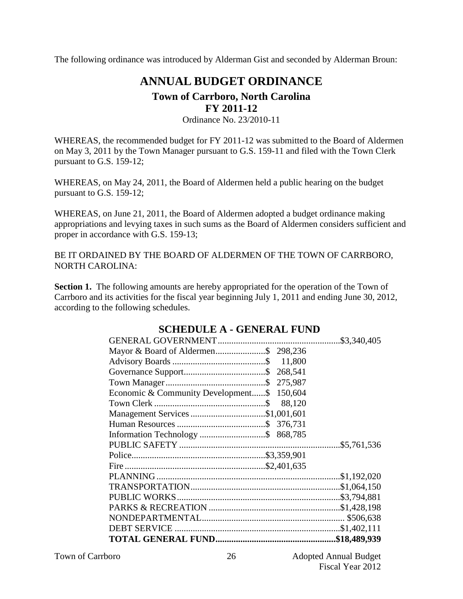The following ordinance was introduced by Alderman Gist and seconded by Alderman Broun:

# **ANNUAL BUDGET ORDINANCE**

### **Town of Carrboro, North Carolina FY 2011-12**

Ordinance No. 23/2010-11

WHEREAS, the recommended budget for FY 2011-12 was submitted to the Board of Aldermen on May 3, 2011 by the Town Manager pursuant to G.S. 159-11 and filed with the Town Clerk pursuant to G.S. 159-12;

WHEREAS, on May 24, 2011, the Board of Aldermen held a public hearing on the budget pursuant to G.S. 159-12;

WHEREAS, on June 21, 2011, the Board of Aldermen adopted a budget ordinance making appropriations and levying taxes in such sums as the Board of Aldermen considers sufficient and proper in accordance with G.S. 159-13;

BE IT ORDAINED BY THE BOARD OF ALDERMEN OF THE TOWN OF CARRBORO, NORTH CAROLINA:

**Section 1.** The following amounts are hereby appropriated for the operation of the Town of Carrboro and its activities for the fiscal year beginning July 1, 2011 and ending June 30, 2012, according to the following schedules.

| Mayor & Board of Aldermen\$ 298,236        |  |
|--------------------------------------------|--|
|                                            |  |
|                                            |  |
|                                            |  |
| Economic & Community Development\$ 150,604 |  |
|                                            |  |
| Management Services \$1,001,601            |  |
|                                            |  |
|                                            |  |
|                                            |  |
|                                            |  |
|                                            |  |
|                                            |  |
|                                            |  |
|                                            |  |
|                                            |  |
|                                            |  |
|                                            |  |
|                                            |  |

### **SCHEDULE A - GENERAL FUND**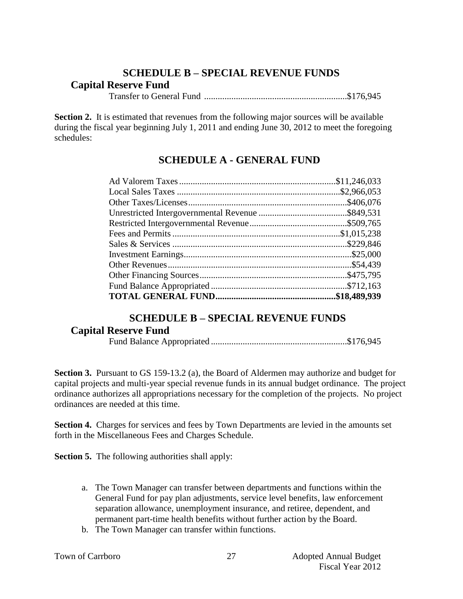# **SCHEDULE B – SPECIAL REVENUE FUNDS**

## **Capital Reserve Fund**

Transfer to General Fund ...............................................................\$176,945

**Section 2.** It is estimated that revenues from the following major sources will be available during the fiscal year beginning July 1, 2011 and ending June 30, 2012 to meet the foregoing schedules:

# **SCHEDULE A - GENERAL FUND**

## **SCHEDULE B – SPECIAL REVENUE FUNDS**

## **Capital Reserve Fund**

Fund Balance Appropriated ............................................................\$176,945

**Section 3.** Pursuant to GS 159-13.2 (a), the Board of Aldermen may authorize and budget for capital projects and multi-year special revenue funds in its annual budget ordinance. The project ordinance authorizes all appropriations necessary for the completion of the projects. No project ordinances are needed at this time.

**Section 4.** Charges for services and fees by Town Departments are levied in the amounts set forth in the Miscellaneous Fees and Charges Schedule.

**Section 5.** The following authorities shall apply:

- a. The Town Manager can transfer between departments and functions within the General Fund for pay plan adjustments, service level benefits, law enforcement separation allowance, unemployment insurance, and retiree, dependent, and permanent part-time health benefits without further action by the Board.
- b. The Town Manager can transfer within functions.

|  |  | Town of Carrboro |
|--|--|------------------|
|--|--|------------------|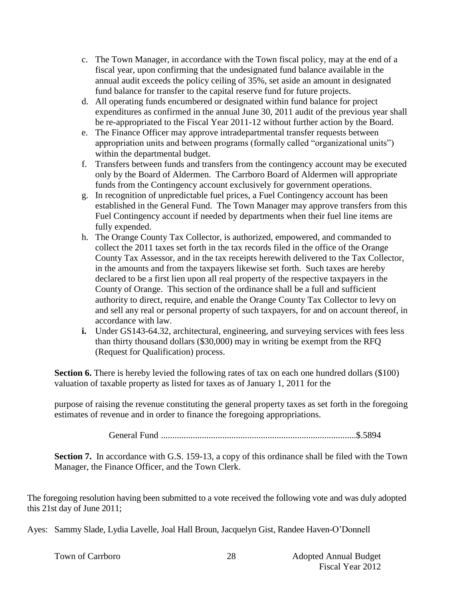- c. The Town Manager, in accordance with the Town fiscal policy, may at the end of a fiscal year, upon confirming that the undesignated fund balance available in the annual audit exceeds the policy ceiling of 35%, set aside an amount in designated fund balance for transfer to the capital reserve fund for future projects.
- d. All operating funds encumbered or designated within fund balance for project expenditures as confirmed in the annual June 30, 2011 audit of the previous year shall be re-appropriated to the Fiscal Year 2011-12 without further action by the Board.
- e. The Finance Officer may approve intradepartmental transfer requests between appropriation units and between programs (formally called "organizational units") within the departmental budget.
- f. Transfers between funds and transfers from the contingency account may be executed only by the Board of Aldermen. The Carrboro Board of Aldermen will appropriate funds from the Contingency account exclusively for government operations.
- g. In recognition of unpredictable fuel prices, a Fuel Contingency account has been established in the General Fund. The Town Manager may approve transfers from this Fuel Contingency account if needed by departments when their fuel line items are fully expended.
- h. The Orange County Tax Collector, is authorized, empowered, and commanded to collect the 2011 taxes set forth in the tax records filed in the office of the Orange County Tax Assessor, and in the tax receipts herewith delivered to the Tax Collector, in the amounts and from the taxpayers likewise set forth. Such taxes are hereby declared to be a first lien upon all real property of the respective taxpayers in the County of Orange. This section of the ordinance shall be a full and sufficient authority to direct, require, and enable the Orange County Tax Collector to levy on and sell any real or personal property of such taxpayers, for and on account thereof, in accordance with law.
- **i.** Under GS143-64.32, architectural, engineering, and surveying services with fees less than thirty thousand dollars (\$30,000) may in writing be exempt from the RFQ (Request for Qualification) process.

**Section 6.** There is hereby levied the following rates of tax on each one hundred dollars (\$100) valuation of taxable property as listed for taxes as of January 1, 2011 for the

purpose of raising the revenue constituting the general property taxes as set forth in the foregoing estimates of revenue and in order to finance the foregoing appropriations.

General Fund ......................................................................................\$.5894

**Section 7.** In accordance with G.S. 159-13, a copy of this ordinance shall be filed with the Town Manager, the Finance Officer, and the Town Clerk.

The foregoing resolution having been submitted to a vote received the following vote and was duly adopted this 21st day of June 2011;

Ayes: Sammy Slade, Lydia Lavelle, Joal Hall Broun, Jacquelyn Gist, Randee Haven-O'Donnell

28